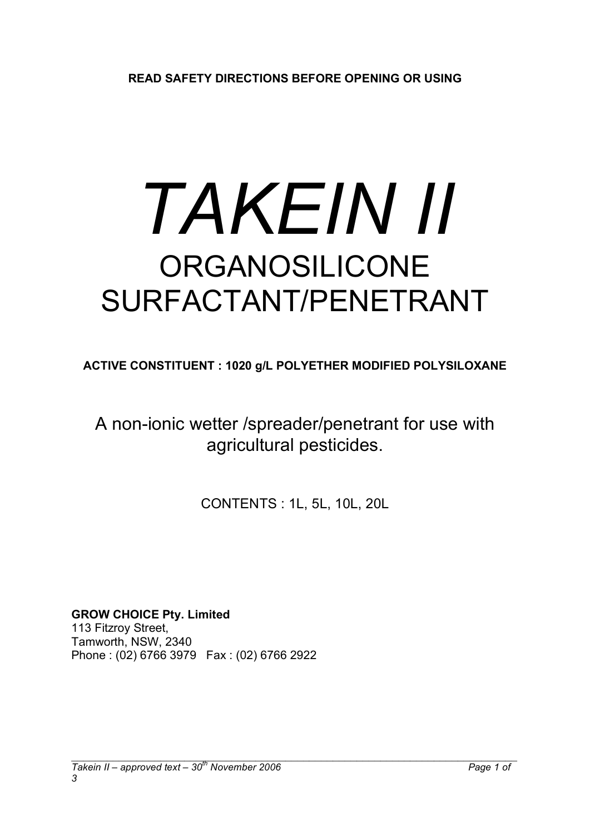# *TAKEIN II* ORGANOSILICONE SURFACTANT/PENETRANT

**ACTIVE CONSTITUENT : 1020 g/L POLYETHER MODIFIED POLYSILOXANE**

A non-ionic wetter /spreader/penetrant for use with agricultural pesticides.

CONTENTS : 1L, 5L, 10L, 20L

**GROW CHOICE Pty. Limited** 113 Fitzroy Street, Tamworth, NSW, 2340 Phone : (02) 6766 3979 Fax : (02) 6766 2922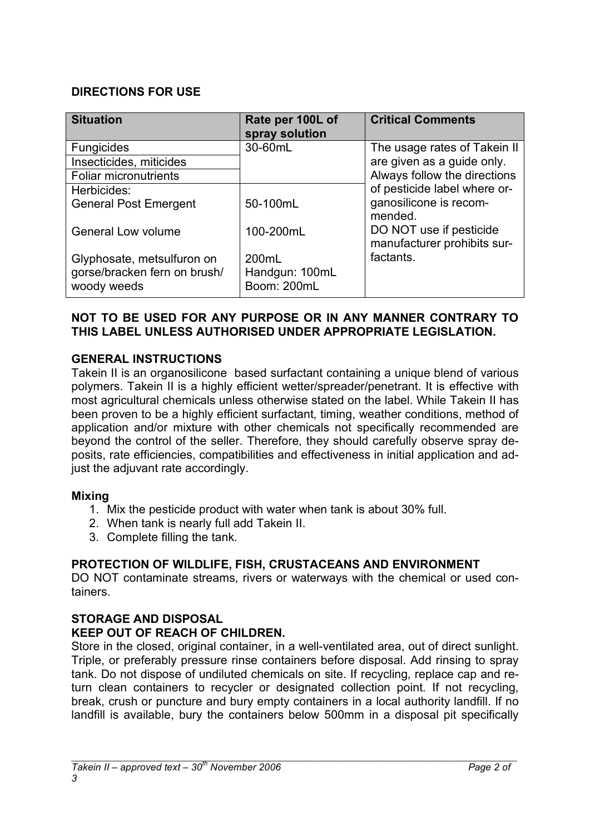## **DIRECTIONS FOR USE**

| <b>Situation</b>                            | Rate per 100L of<br>spray solution | <b>Critical Comments</b>                               |
|---------------------------------------------|------------------------------------|--------------------------------------------------------|
| <b>Fungicides</b>                           | 30-60mL                            | The usage rates of Takein II                           |
| Insecticides, miticides                     |                                    | are given as a guide only.                             |
| <b>Foliar micronutrients</b>                |                                    | Always follow the directions                           |
| Herbicides:                                 |                                    | of pesticide label where or-                           |
| <b>General Post Emergent</b>                | 50-100mL                           | ganosilicone is recom-<br>mended.                      |
| General Low volume                          | 100-200mL                          | DO NOT use if pesticide<br>manufacturer prohibits sur- |
| Glyphosate, metsulfuron on                  | 200mL                              | factants.                                              |
| gorse/bracken fern on brush/<br>woody weeds | Handgun: 100mL<br>Boom: 200mL      |                                                        |

## **NOT TO BE USED FOR ANY PURPOSE OR IN ANY MANNER CONTRARY TO THIS LABEL UNLESS AUTHORISED UNDER APPROPRIATE LEGISLATION.**

## **GENERAL INSTRUCTIONS**

Takein II is an organosilicone based surfactant containing a unique blend of various polymers. Takein II is a highly efficient wetter/spreader/penetrant. It is effective with most agricultural chemicals unless otherwise stated on the label. While Takein II has been proven to be a highly efficient surfactant, timing, weather conditions, method of application and/or mixture with other chemicals not specifically recommended are beyond the control of the seller. Therefore, they should carefully observe spray deposits, rate efficiencies, compatibilities and effectiveness in initial application and adjust the adjuvant rate accordingly.

#### **Mixing**

- 1. Mix the pesticide product with water when tank is about 30% full.
- 2. When tank is nearly full add Takein II.
- 3. Complete filling the tank.

## **PROTECTION OF WILDLIFE, FISH, CRUSTACEANS AND ENVIRONMENT**

DO NOT contaminate streams, rivers or waterways with the chemical or used containers.

#### **STORAGE AND DISPOSAL**

#### **KEEP OUT OF REACH OF CHILDREN.**

Store in the closed, original container, in a well-ventilated area, out of direct sunlight. Triple, or preferably pressure rinse containers before disposal. Add rinsing to spray tank. Do not dispose of undiluted chemicals on site. If recycling, replace cap and return clean containers to recycler or designated collection point. If not recycling, break, crush or puncture and bury empty containers in a local authority landfill. If no landfill is available, bury the containers below 500mm in a disposal pit specifically